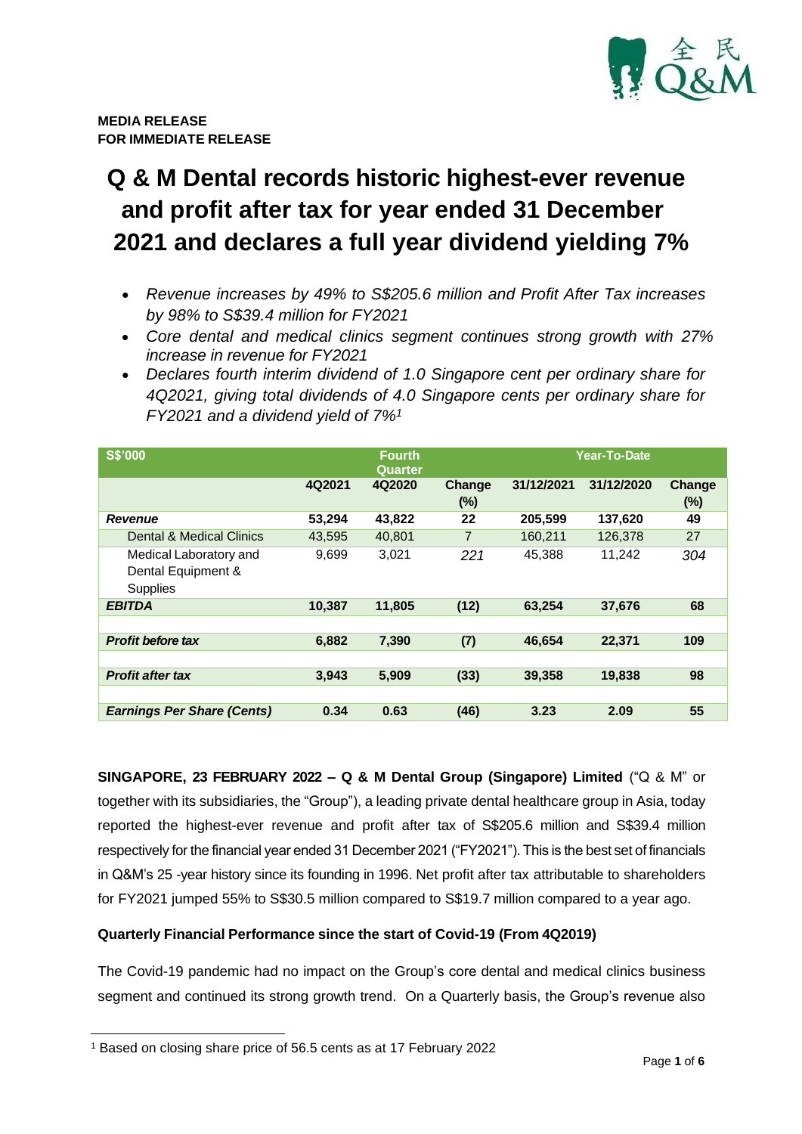

# **Q & M Dental records historic highest-ever revenue and profit after tax for year ended 31 December 2021 and declares a full year dividend yielding 7%**

- *Revenue increases by 49% to S\$205.6 million and Profit After Tax increases by 98% to S\$39.4 million for FY2021*
- *Core dental and medical clinics segment continues strong growth with 27% increase in revenue for FY2021*
- *Declares fourth interim dividend of 1.0 Singapore cent per ordinary share for 4Q2021, giving total dividends of 4.0 Singapore cents per ordinary share for FY2021 and a dividend yield of 7%<sup>1</sup>*

| <b>S\$'000</b>                    |        | <b>Fourth</b><br>Quarter |                |            | Year-To-Date |        |
|-----------------------------------|--------|--------------------------|----------------|------------|--------------|--------|
|                                   | 4Q2021 | 4Q2020                   | Change         | 31/12/2021 | 31/12/2020   | Change |
|                                   |        |                          | (%)            |            |              | (%)    |
| <b>Revenue</b>                    | 53,294 | 43,822                   | 22             | 205,599    | 137,620      | 49     |
| Dental & Medical Clinics          | 43,595 | 40,801                   | $\overline{7}$ | 160,211    | 126,378      | 27     |
| Medical Laboratory and            | 9,699  | 3,021                    | 221            | 45.388     | 11,242       | 304    |
| Dental Equipment &                |        |                          |                |            |              |        |
| Supplies                          |        |                          |                |            |              |        |
| <b>EBITDA</b>                     | 10,387 | 11,805                   | (12)           | 63,254     | 37,676       | 68     |
|                                   |        |                          |                |            |              |        |
| <b>Profit before tax</b>          | 6,882  | 7,390                    | (7)            | 46,654     | 22,371       | 109    |
|                                   |        |                          |                |            |              |        |
| <b>Profit after tax</b>           | 3.943  | 5,909                    | (33)           | 39,358     | 19,838       | 98     |
|                                   |        |                          |                |            |              |        |
| <b>Earnings Per Share (Cents)</b> | 0.34   | 0.63                     | (46)           | 3.23       | 2.09         | 55     |

**SINGAPORE, 23 FEBRUARY 2022 – Q & M Dental Group (Singapore) Limited** ("Q & M" or together with its subsidiaries, the "Group"), a leading private dental healthcare group in Asia, today reported the highest-ever revenue and profit after tax of S\$205.6 million and S\$39.4 million respectively for the financial year ended 31 December 2021 ("FY2021"). This is the best set of financials in Q&M's 25 -year history since its founding in 1996. Net profit after tax attributable to shareholders for FY2021 jumped 55% to S\$30.5 million compared to S\$19.7 million compared to a year ago.

## **Quarterly Financial Performance since the start of Covid-19 (From 4Q2019)**

The Covid-19 pandemic had no impact on the Group's core dental and medical clinics business segment and continued its strong growth trend. On a Quarterly basis, the Group's revenue also

<sup>1</sup> Based on closing share price of 56.5 cents as at 17 February 2022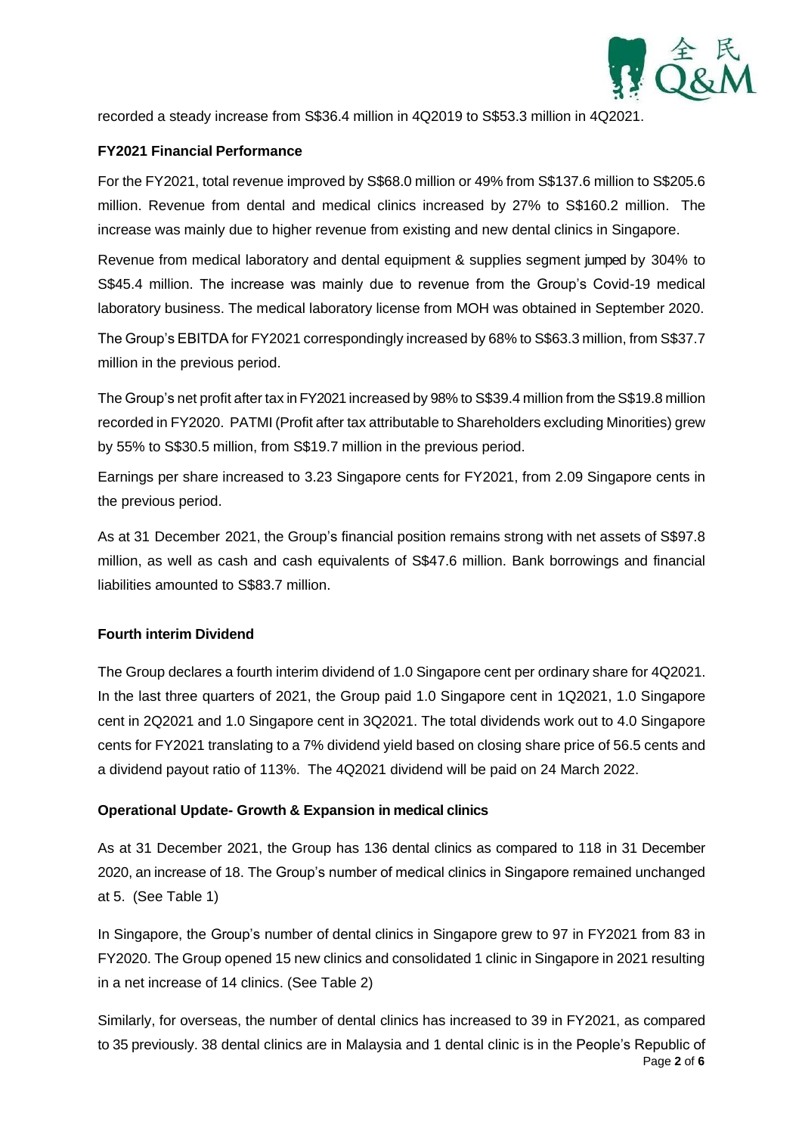

recorded a steady increase from S\$36.4 million in 4Q2019 to S\$53.3 million in 4Q2021.

#### **FY2021 Financial Performance**

For the FY2021, total revenue improved by S\$68.0 million or 49% from S\$137.6 million to S\$205.6 million. Revenue from dental and medical clinics increased by 27% to S\$160.2 million. The increase was mainly due to higher revenue from existing and new dental clinics in Singapore.

Revenue from medical laboratory and dental equipment & supplies segment jumped by 304% to S\$45.4 million. The increase was mainly due to revenue from the Group's Covid-19 medical laboratory business. The medical laboratory license from MOH was obtained in September 2020.

The Group's EBITDA for FY2021 correspondingly increased by 68% to S\$63.3 million, from S\$37.7 million in the previous period.

The Group's net profit after tax in FY2021 increased by 98% to S\$39.4 million from the S\$19.8 million recorded in FY2020. PATMI (Profit after tax attributable to Shareholders excluding Minorities) grew by 55% to S\$30.5 million, from S\$19.7 million in the previous period.

Earnings per share increased to 3.23 Singapore cents for FY2021, from 2.09 Singapore cents in the previous period.

As at 31 December 2021, the Group's financial position remains strong with net assets of S\$97.8 million, as well as cash and cash equivalents of S\$47.6 million. Bank borrowings and financial liabilities amounted to S\$83.7 million.

#### **Fourth interim Dividend**

The Group declares a fourth interim dividend of 1.0 Singapore cent per ordinary share for 4Q2021. In the last three quarters of 2021, the Group paid 1.0 Singapore cent in 1Q2021, 1.0 Singapore cent in 2Q2021 and 1.0 Singapore cent in 3Q2021. The total dividends work out to 4.0 Singapore cents for FY2021 translating to a 7% dividend yield based on closing share price of 56.5 cents and a dividend payout ratio of 113%. The 4Q2021 dividend will be paid on 24 March 2022.

#### **Operational Update- Growth & Expansion in medical clinics**

As at 31 December 2021, the Group has 136 dental clinics as compared to 118 in 31 December 2020, an increase of 18. The Group's number of medical clinics in Singapore remained unchanged at 5. (See Table 1)

In Singapore, the Group's number of dental clinics in Singapore grew to 97 in FY2021 from 83 in FY2020. The Group opened 15 new clinics and consolidated 1 clinic in Singapore in 2021 resulting in a net increase of 14 clinics. (See Table 2)

Page **2** of **6** Similarly, for overseas, the number of dental clinics has increased to 39 in FY2021, as compared to 35 previously. 38 dental clinics are in Malaysia and 1 dental clinic is in the People's Republic of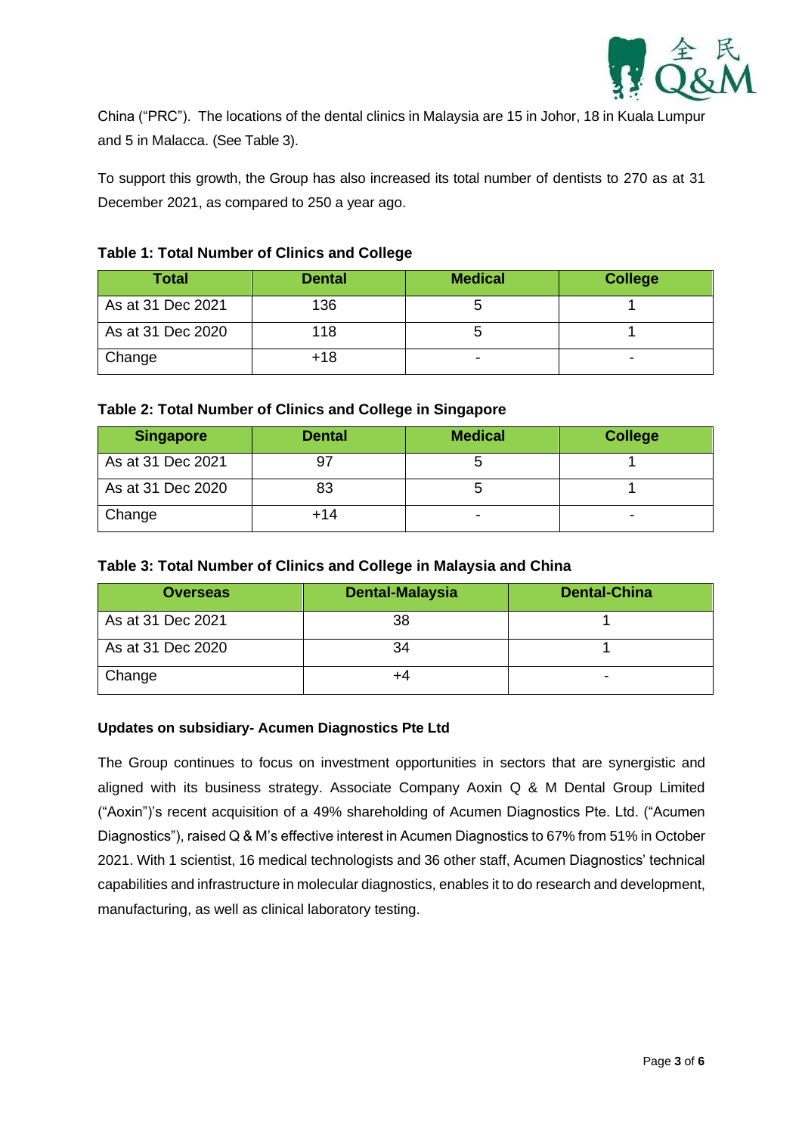

China ("PRC"). The locations of the dental clinics in Malaysia are 15 in Johor, 18 in Kuala Lumpur and 5 in Malacca. (See Table 3).

To support this growth, the Group has also increased its total number of dentists to 270 as at 31 December 2021, as compared to 250 a year ago.

## **Table 1: Total Number of Clinics and College**

| <b>Total</b>      | <b>Dental</b> | <b>Medical</b> | <b>College</b> |
|-------------------|---------------|----------------|----------------|
| As at 31 Dec 2021 | 136           |                |                |
| As at 31 Dec 2020 | 118           |                |                |
| Change            | +18           | ۰              | ۰              |

#### **Table 2: Total Number of Clinics and College in Singapore**

| <b>Singapore</b>  | <b>Dental</b> | <b>Medical</b> | <b>College</b> |
|-------------------|---------------|----------------|----------------|
| As at 31 Dec 2021 | 97            |                |                |
| As at 31 Dec 2020 | 83            |                |                |
| Change            | $+14$         | -              |                |

## **Table 3: Total Number of Clinics and College in Malaysia and China**

| <b>Overseas</b>   | <b>Dental-Malaysia</b> | <b>Dental-China</b> |
|-------------------|------------------------|---------------------|
| As at 31 Dec 2021 | 38                     |                     |
| As at 31 Dec 2020 | 34                     |                     |
| Change            |                        | -                   |

#### **Updates on subsidiary- Acumen Diagnostics Pte Ltd**

The Group continues to focus on investment opportunities in sectors that are synergistic and aligned with its business strategy. Associate Company Aoxin Q & M Dental Group Limited ("Aoxin")'s recent acquisition of a 49% shareholding of Acumen Diagnostics Pte. Ltd. ("Acumen Diagnostics"), raised Q & M's effective interest in Acumen Diagnostics to 67% from 51% in October 2021. With 1 scientist, 16 medical technologists and 36 other staff, Acumen Diagnostics' technical capabilities and infrastructure in molecular diagnostics, enables it to do research and development, manufacturing, as well as clinical laboratory testing.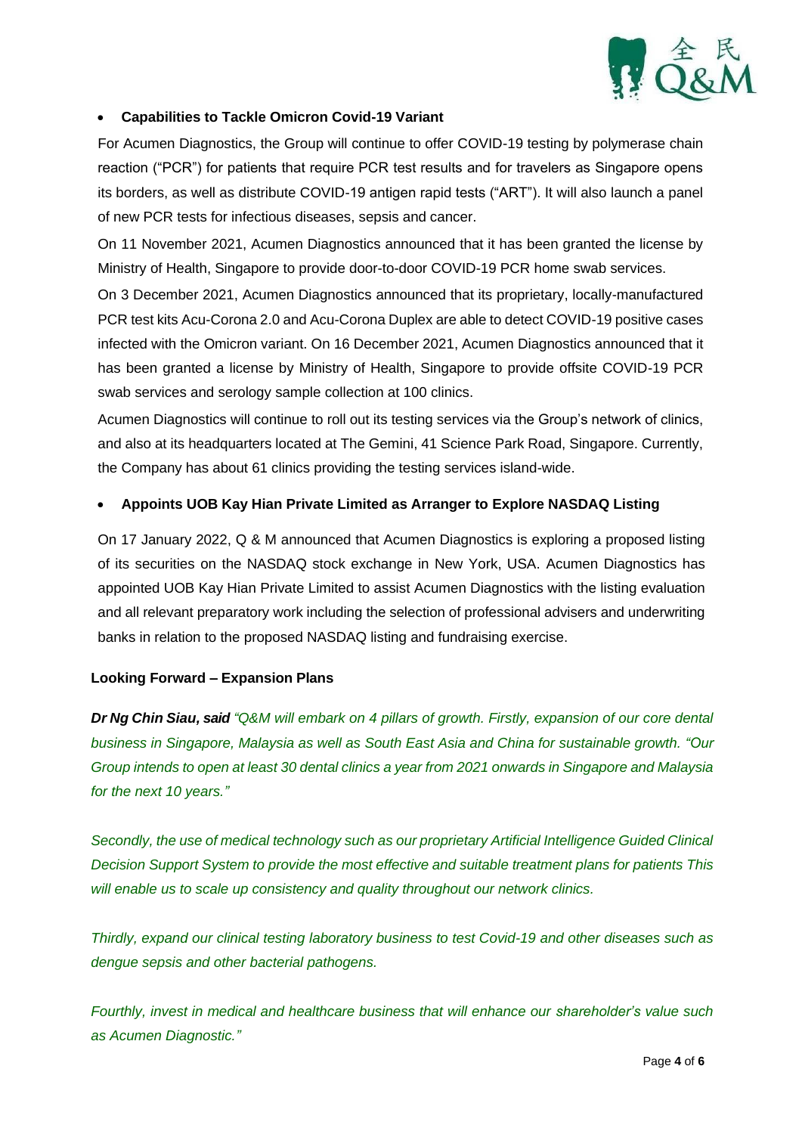

## • **Capabilities to Tackle Omicron Covid-19 Variant**

For Acumen Diagnostics, the Group will continue to offer COVID-19 testing by polymerase chain reaction ("PCR") for patients that require PCR test results and for travelers as Singapore opens its borders, as well as distribute COVID-19 antigen rapid tests ("ART"). It will also launch a panel of new PCR tests for infectious diseases, sepsis and cancer.

On 11 November 2021, Acumen Diagnostics announced that it has been granted the license by Ministry of Health, Singapore to provide door-to-door COVID-19 PCR home swab services.

On 3 December 2021, Acumen Diagnostics announced that its proprietary, locally-manufactured PCR test kits Acu-Corona 2.0 and Acu-Corona Duplex are able to detect COVID-19 positive cases infected with the Omicron variant. On 16 December 2021, Acumen Diagnostics announced that it has been granted a license by Ministry of Health, Singapore to provide offsite COVID-19 PCR swab services and serology sample collection at 100 clinics.

Acumen Diagnostics will continue to roll out its testing services via the Group's network of clinics, and also at its headquarters located at The Gemini, 41 Science Park Road, Singapore. Currently, the Company has about 61 clinics providing the testing services island-wide.

#### • **Appoints UOB Kay Hian Private Limited as Arranger to Explore NASDAQ Listing**

On 17 January 2022, Q & M announced that Acumen Diagnostics is exploring a proposed listing of its securities on the NASDAQ stock exchange in New York, USA. Acumen Diagnostics has appointed UOB Kay Hian Private Limited to assist Acumen Diagnostics with the listing evaluation and all relevant preparatory work including the selection of professional advisers and underwriting banks in relation to the proposed NASDAQ listing and fundraising exercise.

#### **Looking Forward – Expansion Plans**

*Dr Ng Chin Siau, said "Q&M will embark on 4 pillars of growth. Firstly, expansion of our core dental business in Singapore, Malaysia as well as South East Asia and China for sustainable growth. "Our Group intends to open at least 30 dental clinics a year from 2021 onwards in Singapore and Malaysia for the next 10 years."* 

*Secondly, the use of medical technology such as our proprietary Artificial Intelligence Guided Clinical Decision Support System to provide the most effective and suitable treatment plans for patients This will enable us to scale up consistency and quality throughout our network clinics.*

*Thirdly, expand our clinical testing laboratory business to test Covid-19 and other diseases such as dengue sepsis and other bacterial pathogens.* 

*Fourthly, invest in medical and healthcare business that will enhance our shareholder's value such as Acumen Diagnostic."*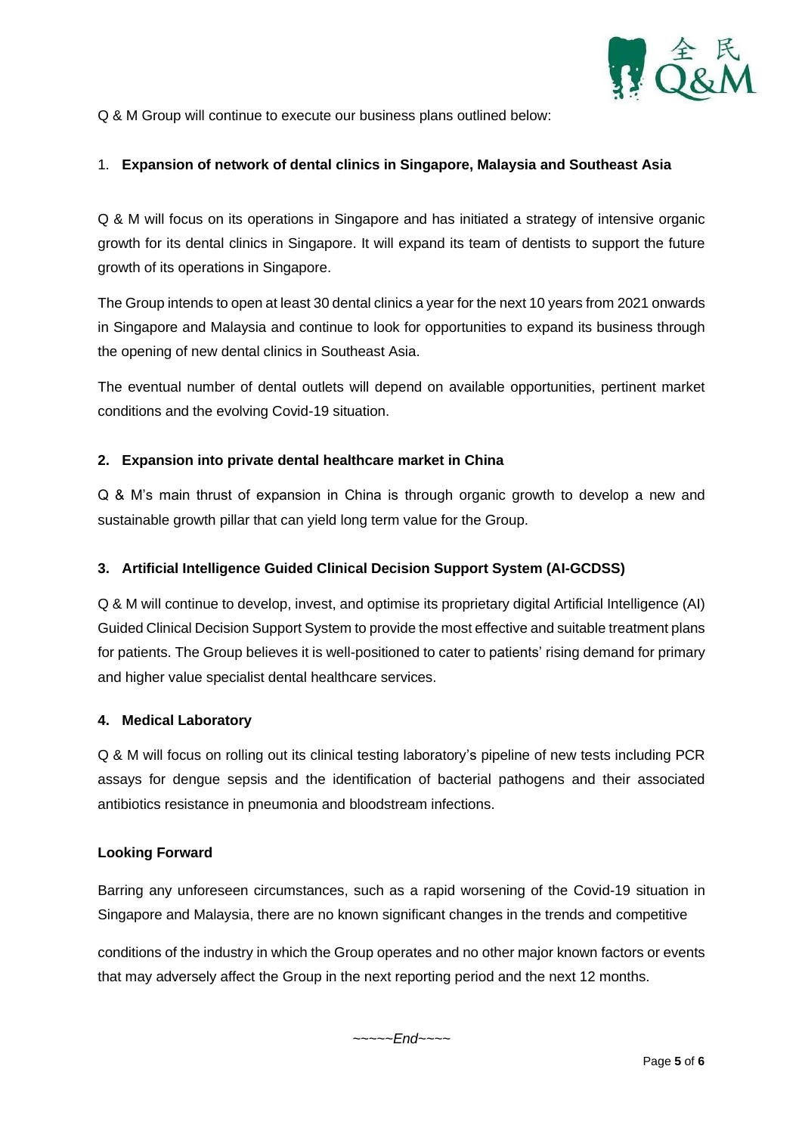

Q & M Group will continue to execute our business plans outlined below:

## 1. **Expansion of network of dental clinics in Singapore, Malaysia and Southeast Asia**

Q & M will focus on its operations in Singapore and has initiated a strategy of intensive organic growth for its dental clinics in Singapore. It will expand its team of dentists to support the future growth of its operations in Singapore.

The Group intends to open at least 30 dental clinics a year for the next 10 years from 2021 onwards in Singapore and Malaysia and continue to look for opportunities to expand its business through the opening of new dental clinics in Southeast Asia.

The eventual number of dental outlets will depend on available opportunities, pertinent market conditions and the evolving Covid-19 situation.

#### **2. Expansion into private dental healthcare market in China**

Q & M's main thrust of expansion in China is through organic growth to develop a new and sustainable growth pillar that can yield long term value for the Group.

#### **3. Artificial Intelligence Guided Clinical Decision Support System (AI-GCDSS)**

Q & M will continue to develop, invest, and optimise its proprietary digital Artificial Intelligence (AI) Guided Clinical Decision Support System to provide the most effective and suitable treatment plans for patients. The Group believes it is well-positioned to cater to patients' rising demand for primary and higher value specialist dental healthcare services.

#### **4. Medical Laboratory**

Q & M will focus on rolling out its clinical testing laboratory's pipeline of new tests including PCR assays for dengue sepsis and the identification of bacterial pathogens and their associated antibiotics resistance in pneumonia and bloodstream infections.

#### **Looking Forward**

Barring any unforeseen circumstances, such as a rapid worsening of the Covid-19 situation in Singapore and Malaysia, there are no known significant changes in the trends and competitive

conditions of the industry in which the Group operates and no other major known factors or events that may adversely affect the Group in the next reporting period and the next 12 months.

~~~~~*End~~~~*